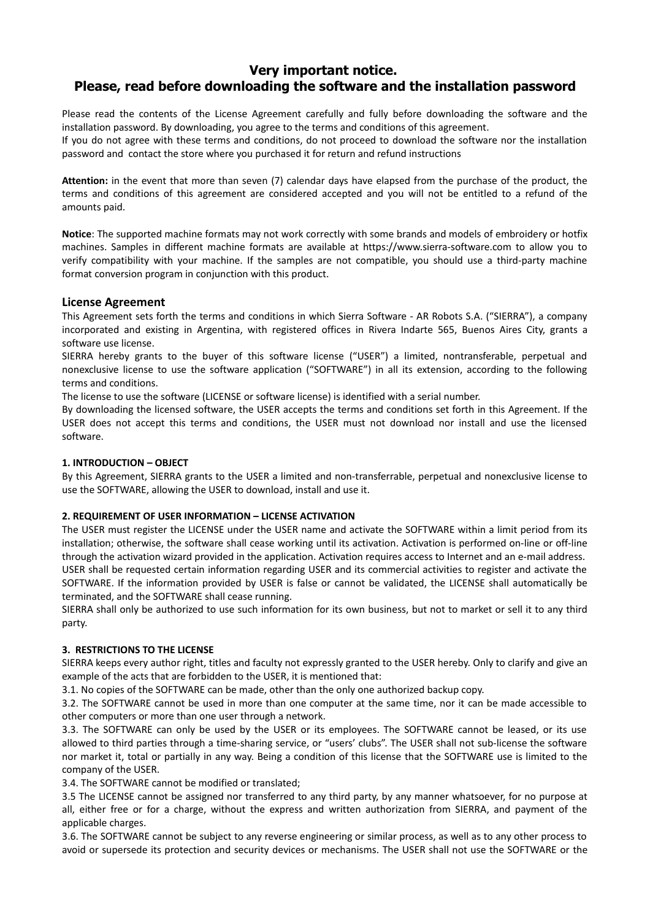# **Very important notice. Please, read before downloading the software and the installation password**

Please read the contents of the License Agreement carefully and fully before downloading the software and the installation password. By downloading, you agree to the terms and conditions of this agreement.

If you do not agree with these terms and conditions, do not proceed to download the software nor the installation password and contact the store where you purchased it for return and refund instructions

**Attention:** in the event that more than seven (7) calendar days have elapsed from the purchase of the product, the terms and conditions of this agreement are considered accepted and you will not be entitled to a refund of the amounts paid.

**Notice**: The supported machine formats may not work correctly with some brands and models of embroidery or hotfix machines. Samples in different machine formats are available at https://www.sierra-software.com to allow you to verify compatibility with your machine. If the samples are not compatible, you should use a third-party machine format conversion program in conjunction with this product.

## **License Agreement**

This Agreement sets forth the terms and conditions in which Sierra Software - AR Robots S.A. ("SIERRA"), a company incorporated and existing in Argentina, with registered offices in Rivera Indarte 565, Buenos Aires City, grants a software use license.

SIERRA hereby grants to the buyer of this software license ("USER") a limited, nontransferable, perpetual and nonexclusive license to use the software application ("SOFTWARE") in all its extension, according to the following terms and conditions.

The license to use the software (LICENSE or software license) is identified with a serial number.

By downloading the licensed software, the USER accepts the terms and conditions set forth in this Agreement. If the USER does not accept this terms and conditions, the USER must not download nor install and use the licensed software.

#### **1. INTRODUCTION – OBJECT**

By this Agreement, SIERRA grants to the USER a limited and non-transferrable, perpetual and nonexclusive license to use the SOFTWARE, allowing the USER to download, install and use it.

#### **2. REQUIREMENT OF USER INFORMATION – LICENSE ACTIVATION**

The USER must register the LICENSE under the USER name and activate the SOFTWARE within a limit period from its installation; otherwise, the software shall cease working until its activation. Activation is performed on-line or off-line through the activation wizard provided in the application. Activation requires access to Internet and an e-mail address. USER shall be requested certain information regarding USER and its commercial activities to register and activate the SOFTWARE. If the information provided by USER is false or cannot be validated, the LICENSE shall automatically be terminated, and the SOFTWARE shall cease running.

SIERRA shall only be authorized to use such information for its own business, but not to market or sell it to any third party.

#### **3. RESTRICTIONS TO THE LICENSE**

SIERRA keeps every author right, titles and faculty not expressly granted to the USER hereby. Only to clarify and give an example of the acts that are forbidden to the USER, it is mentioned that:

3.1. No copies of the SOFTWARE can be made, other than the only one authorized backup copy.

3.2. The SOFTWARE cannot be used in more than one computer at the same time, nor it can be made accessible to other computers or more than one user through a network.

3.3. The SOFTWARE can only be used by the USER or its employees. The SOFTWARE cannot be leased, or its use allowed to third parties through a time-sharing service, or "users' clubs". The USER shall not sub-license the software nor market it, total or partially in any way. Being a condition of this license that the SOFTWARE use is limited to the company of the USER.

3.4. The SOFTWARE cannot be modified or translated;

3.5 The LICENSE cannot be assigned nor transferred to any third party, by any manner whatsoever, for no purpose at all, either free or for a charge, without the express and written authorization from SIERRA, and payment of the applicable charges.

3.6. The SOFTWARE cannot be subject to any reverse engineering or similar process, as well as to any other process to avoid or supersede its protection and security devices or mechanisms. The USER shall not use the SOFTWARE or the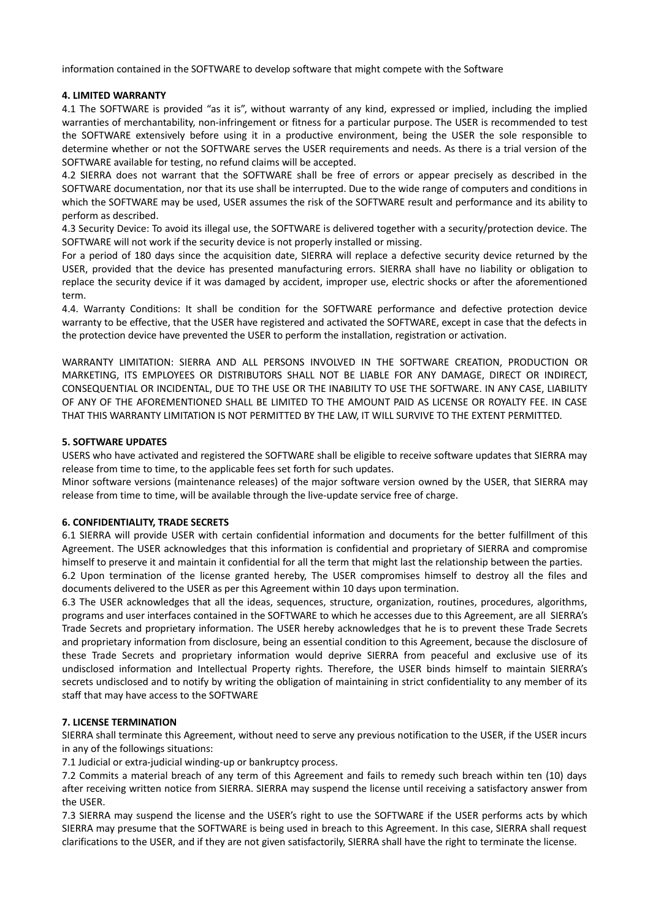information contained in the SOFTWARE to develop software that might compete with the Software

#### **4. LIMITED WARRANTY**

4.1 The SOFTWARE is provided "as it is", without warranty of any kind, expressed or implied, including the implied warranties of merchantability, non-infringement or fitness for a particular purpose. The USER is recommended to test the SOFTWARE extensively before using it in a productive environment, being the USER the sole responsible to determine whether or not the SOFTWARE serves the USER requirements and needs. As there is a trial version of the SOFTWARE available for testing, no refund claims will be accepted.

4.2 SIERRA does not warrant that the SOFTWARE shall be free of errors or appear precisely as described in the SOFTWARE documentation, nor that its use shall be interrupted. Due to the wide range of computers and conditions in which the SOFTWARE may be used, USER assumes the risk of the SOFTWARE result and performance and its ability to perform as described.

4.3 Security Device: To avoid its illegal use, the SOFTWARE is delivered together with a security/protection device. The SOFTWARE will not work if the security device is not properly installed or missing.

For a period of 180 days since the acquisition date, SIERRA will replace a defective security device returned by the USER, provided that the device has presented manufacturing errors. SIERRA shall have no liability or obligation to replace the security device if it was damaged by accident, improper use, electric shocks or after the aforementioned term.

4.4. Warranty Conditions: It shall be condition for the SOFTWARE performance and defective protection device warranty to be effective, that the USER have registered and activated the SOFTWARE, except in case that the defects in the protection device have prevented the USER to perform the installation, registration or activation.

WARRANTY LIMITATION: SIERRA AND ALL PERSONS INVOLVED IN THE SOFTWARE CREATION, PRODUCTION OR MARKETING, ITS EMPLOYEES OR DISTRIBUTORS SHALL NOT BE LIABLE FOR ANY DAMAGE, DIRECT OR INDIRECT, CONSEQUENTIAL OR INCIDENTAL, DUE TO THE USE OR THE INABILITY TO USE THE SOFTWARE. IN ANY CASE, LIABILITY OF ANY OF THE AFOREMENTIONED SHALL BE LIMITED TO THE AMOUNT PAID AS LICENSE OR ROYALTY FEE. IN CASE THAT THIS WARRANTY LIMITATION IS NOT PERMITTED BY THE LAW, IT WILL SURVIVE TO THE EXTENT PERMITTED.

#### **5. SOFTWARE UPDATES**

USERS who have activated and registered the SOFTWARE shall be eligible to receive software updates that SIERRA may release from time to time, to the applicable fees set forth for such updates.

Minor software versions (maintenance releases) of the major software version owned by the USER, that SIERRA may release from time to time, will be available through the live-update service free of charge.

## **6. CONFIDENTIALITY, TRADE SECRETS**

6.1 SIERRA will provide USER with certain confidential information and documents for the better fulfillment of this Agreement. The USER acknowledges that this information is confidential and proprietary of SIERRA and compromise himself to preserve it and maintain it confidential for all the term that might last the relationship between the parties.

6.2 Upon termination of the license granted hereby, The USER compromises himself to destroy all the files and documents delivered to the USER as per this Agreement within 10 days upon termination.

6.3 The USER acknowledges that all the ideas, sequences, structure, organization, routines, procedures, algorithms, programs and user interfaces contained in the SOFTWARE to which he accesses due to this Agreement, are all SIERRA's Trade Secrets and proprietary information. The USER hereby acknowledges that he is to prevent these Trade Secrets and proprietary information from disclosure, being an essential condition to this Agreement, because the disclosure of these Trade Secrets and proprietary information would deprive SIERRA from peaceful and exclusive use of its undisclosed information and Intellectual Property rights. Therefore, the USER binds himself to maintain SIERRA's secrets undisclosed and to notify by writing the obligation of maintaining in strict confidentiality to any member of its staff that may have access to the SOFTWARE

#### **7. LICENSE TERMINATION**

SIERRA shall terminate this Agreement, without need to serve any previous notification to the USER, if the USER incurs in any of the followings situations:

7.1 Judicial or extra-judicial winding-up or bankruptcy process.

7.2 Commits a material breach of any term of this Agreement and fails to remedy such breach within ten (10) days after receiving written notice from SIERRA. SIERRA may suspend the license until receiving a satisfactory answer from the USER.

7.3 SIERRA may suspend the license and the USER's right to use the SOFTWARE if the USER performs acts by which SIERRA may presume that the SOFTWARE is being used in breach to this Agreement. In this case, SIERRA shall request clarifications to the USER, and if they are not given satisfactorily, SIERRA shall have the right to terminate the license.